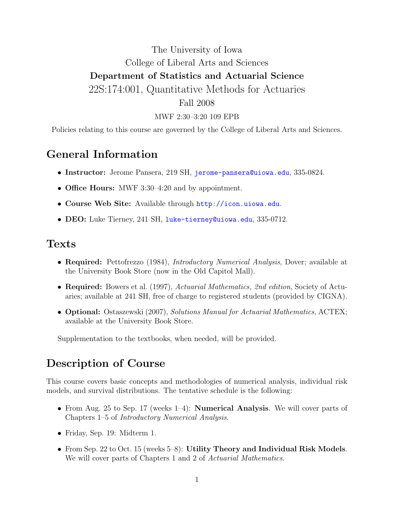# The University of Iowa College of Liberal Arts and Sciences Department of Statistics and Actuarial Science 22S:174:001, Quantitative Methods for Actuaries Fall 2008

#### MWF 2:30–3:20 109 EPB

Policies relating to this course are governed by the College of Liberal Arts and Sciences.

#### General Information

- Instructor: Jerome Pansera, 219 SH, [jerome-pansera@uiowa.edu](mailto:jerome-pansera@uiowa.edu), 335-0824.
- Office Hours: MWF 3:30–4:20 and by appointment.
- Course Web Site: Available through <http://icon.uiowa.edu>.
- DEO: Luke Tierney, 241 SH, [luke-tierney@uiowa.edu](mailto:luke-tierney@uiowa.edu), 335-0712.

#### Texts

- Required: Pettofrezzo (1984), *Introductory Numerical Analysis*, Dover; available at the University Book Store (now in the Old Capitol Mall).
- Required: Bowers et al. (1997), Actuarial Mathematics, 2nd edition, Society of Actuaries; available at 241 SH, free of charge to registered students (provided by CIGNA).
- **Optional:** Ostaszewski (2007), Solutions Manual for Actuarial Mathematics, ACTEX; available at the University Book Store.

Supplementation to the textbooks, when needed, will be provided.

## Description of Course

This course covers basic concepts and methodologies of numerical analysis, individual risk models, and survival distributions. The tentative schedule is the following:

- From Aug. 25 to Sep. 17 (weeks 1–4): **Numerical Analysis**. We will cover parts of Chapters 1–5 of Introductory Numerical Analysis.
- Friday, Sep. 19: Midterm 1.
- From Sep. 22 to Oct. 15 (weeks 5–8): Utility Theory and Individual Risk Models. We will cover parts of Chapters 1 and 2 of Actuarial Mathematics.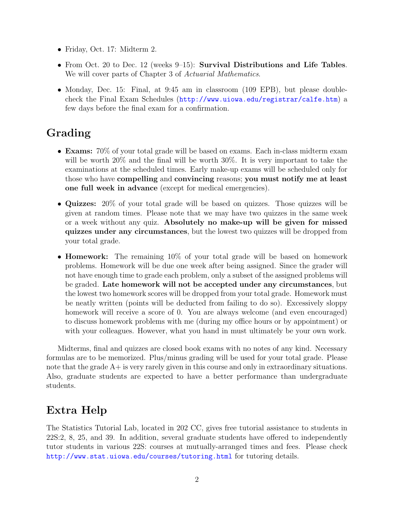- Friday, Oct. 17: Midterm 2.
- From Oct. 20 to Dec. 12 (weeks 9–15): Survival Distributions and Life Tables. We will cover parts of Chapter 3 of Actuarial Mathematics.
- Monday, Dec. 15: Final, at 9:45 am in classroom (109 EPB), but please doublecheck the Final Exam Schedules (<http://www.uiowa.edu/registrar/calfe.htm>) a few days before the final exam for a confirmation.

# Grading

- Exams: 70% of your total grade will be based on exams. Each in-class midterm exam will be worth 20% and the final will be worth 30%. It is very important to take the examinations at the scheduled times. Early make-up exams will be scheduled only for those who have compelling and convincing reasons; you must notify me at least one full week in advance (except for medical emergencies).
- Quizzes: 20% of your total grade will be based on quizzes. Those quizzes will be given at random times. Please note that we may have two quizzes in the same week or a week without any quiz. Absolutely no make-up will be given for missed quizzes under any circumstances, but the lowest two quizzes will be dropped from your total grade.
- **Homework:** The remaining 10% of your total grade will be based on homework problems. Homework will be due one week after being assigned. Since the grader will not have enough time to grade each problem, only a subset of the assigned problems will be graded. Late homework will not be accepted under any circumstances, but the lowest two homework scores will be dropped from your total grade. Homework must be neatly written (points will be deducted from failing to do so). Excessively sloppy homework will receive a score of 0. You are always welcome (and even encouraged) to discuss homework problems with me (during my office hours or by appointment) or with your colleagues. However, what you hand in must ultimately be your own work.

Midterms, final and quizzes are closed book exams with no notes of any kind. Necessary formulas are to be memorized. Plus/minus grading will be used for your total grade. Please note that the grade A+ is very rarely given in this course and only in extraordinary situations. Also, graduate students are expected to have a better performance than undergraduate students.

# Extra Help

The Statistics Tutorial Lab, located in 202 CC, gives free tutorial assistance to students in 22S:2, 8, 25, and 39. In addition, several graduate students have offered to independently tutor students in various 22S: courses at mutually-arranged times and fees. Please check <http://www.stat.uiowa.edu/courses/tutoring.html> for tutoring details.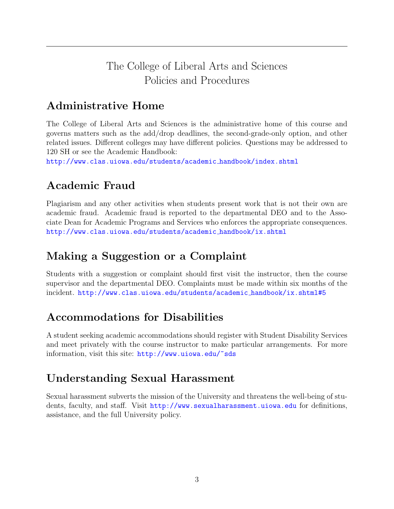## The College of Liberal Arts and Sciences Policies and Procedures

# Administrative Home

The College of Liberal Arts and Sciences is the administrative home of this course and governs matters such as the add/drop deadlines, the second-grade-only option, and other related issues. Different colleges may have different policies. Questions may be addressed to 120 SH or see the Academic Handbook:

[http://www.clas.uiowa.edu/students/academic](http://www.clas.uiowa.edu/students/academic_handbook/index.shtml) handbook/index.shtml

## Academic Fraud

Plagiarism and any other activities when students present work that is not their own are academic fraud. Academic fraud is reported to the departmental DEO and to the Associate Dean for Academic Programs and Services who enforces the appropriate consequences. [http://www.clas.uiowa.edu/students/academic](http://www.clas.uiowa.edu/students/academic_handbook/ix.shtml) handbook/ix.shtml

## Making a Suggestion or a Complaint

Students with a suggestion or complaint should first visit the instructor, then the course supervisor and the departmental DEO. Complaints must be made within six months of the incident. [http://www.clas.uiowa.edu/students/academic](http://www.clas.uiowa.edu/students/academic_handbook/ix.shtml#5)\_handbook/ix.shtml#5

# Accommodations for Disabilities

A student seeking academic accommodations should register with Student Disability Services and meet privately with the course instructor to make particular arrangements. For more information, visit this site: [http://www.uiowa.edu/~sds](http://www.uiowa.edu/~sds/)

## Understanding Sexual Harassment

Sexual harassment subverts the mission of the University and threatens the well-being of students, faculty, and staff. Visit <http://www.sexualharassment.uiowa.edu> for definitions, assistance, and the full University policy.